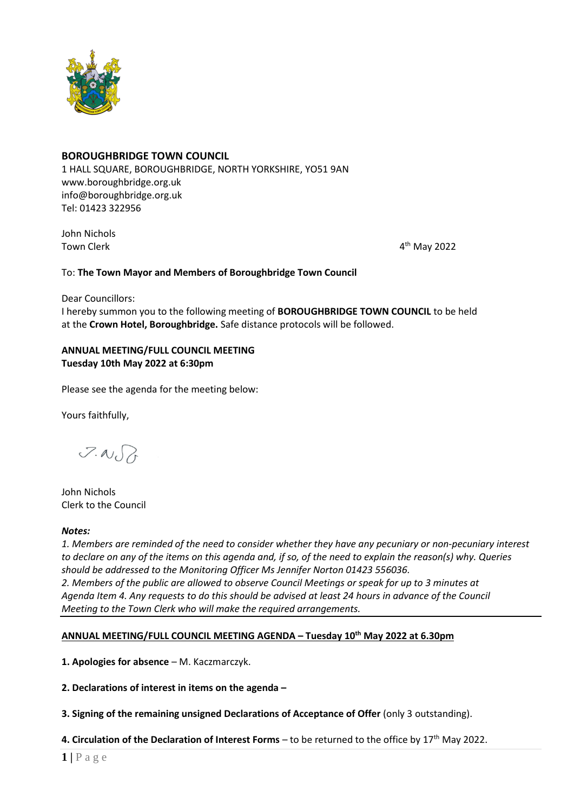

# **BOROUGHBRIDGE TOWN COUNCIL**

1 HALL SQUARE, BOROUGHBRIDGE, NORTH YORKSHIRE, YO51 9AN [www.boroughbridge.org.uk](http://www.boroughbridge.org.uk/) [info@boroughbridge.org.uk](mailto:info@boroughbridge.org.uk) Tel: 01423 322956

John Nichols Town Clerk 4

 $4<sup>th</sup>$  May 2022

#### To: **The Town Mayor and Members of Boroughbridge Town Council**

Dear Councillors:

I hereby summon you to the following meeting of **BOROUGHBRIDGE TOWN COUNCIL** to be held at the **Crown Hotel, Boroughbridge.** Safe distance protocols will be followed.

### **ANNUAL MEETING/FULL COUNCIL MEETING Tuesday 10th May 2022 at 6:30pm**

Please see the agenda for the meeting below:

Yours faithfully,

 $7.007$ 

John Nichols Clerk to the Council

#### *Notes:*

*1. Members are reminded of the need to consider whether they have any pecuniary or non-pecuniary interest to declare on any of the items on this agenda and, if so, of the need to explain the reason(s) why. Queries should be addressed to the Monitoring Officer Ms Jennifer Norton 01423 556036. 2. Members of the public are allowed to observe Council Meetings or speak for up to 3 minutes at Agenda Item 4. Any requests to do this should be advised at least 24 hours in advance of the Council Meeting to the Town Clerk who will make the required arrangements.* 

# **ANNUAL MEETING/FULL COUNCIL MEETING AGENDA – Tuesday 10th May 2022 at 6.30pm**

**1. Apologies for absence** – M. Kaczmarczyk.

**2. Declarations of interest in items on the agenda –**

**3. Signing of the remaining unsigned Declarations of Acceptance of Offer** (only 3 outstanding).

**4. Circulation of the Declaration of Interest Forms** – to be returned to the office by 17<sup>th</sup> May 2022.